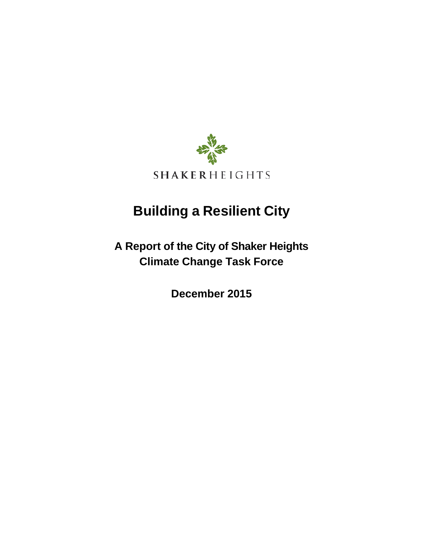

# **Building a Resilient City**

**A Report of the City of Shaker Heights Climate Change Task Force**

**December 2015**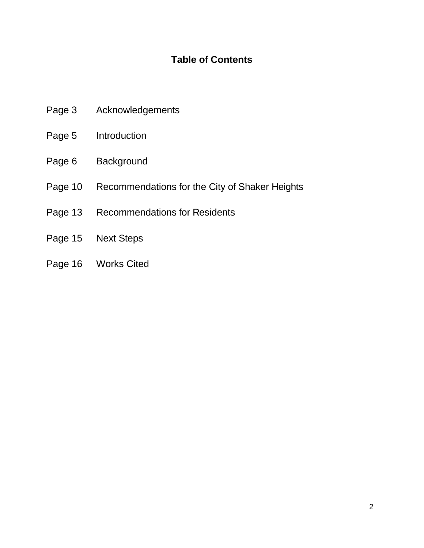# **Table of Contents**

- Page 3 Acknowledgements
- Page 5 Introduction
- Page 6 Background
- Page 10 Recommendations for the City of Shaker Heights
- Page 13 Recommendations for Residents
- Page 15 Next Steps
- Page 16 Works Cited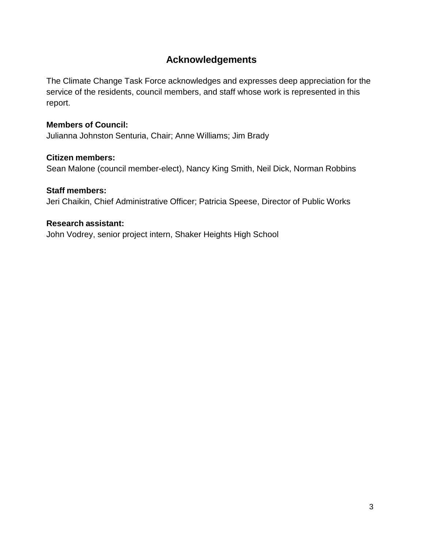# **Acknowledgements**

The Climate Change Task Force acknowledges and expresses deep appreciation for the service of the residents, council members, and staff whose work is represented in this report.

#### **Members of Council:**

Julianna Johnston Senturia, Chair; Anne Williams; Jim Brady

#### **Citizen members:**

Sean Malone (council member-elect), Nancy King Smith, Neil Dick, Norman Robbins

#### **Staff members:**

Jeri Chaikin, Chief Administrative Officer; Patricia Speese, Director of Public Works

#### **Research assistant:**

John Vodrey, senior project intern, Shaker Heights High School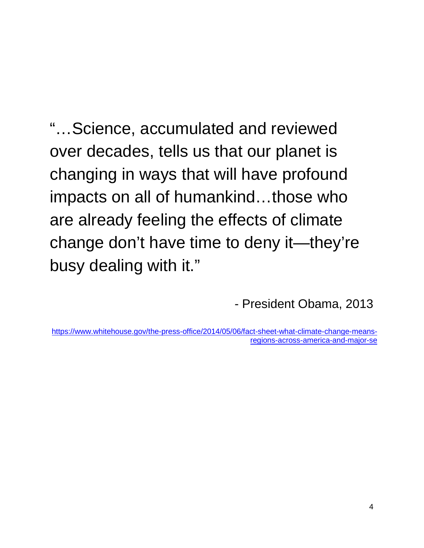"…Science, accumulated and reviewed over decades, tells us that our planet is changing in ways that will have profound impacts on all of humankind…those who are already feeling the effects of climate change don't have time to deny it—they're busy dealing with it."

- President Obama, 2013

[https://www.whitehouse.gov/the-press-office/2014/05/06/fact-sheet-what-climate-change-means](https://www.whitehouse.gov/the-press-office/2014/05/06/fact-sheet-what-climate-change-means-regions-across-america-and-major-se)[regions-across-america-and-major-se](https://www.whitehouse.gov/the-press-office/2014/05/06/fact-sheet-what-climate-change-means-regions-across-america-and-major-se)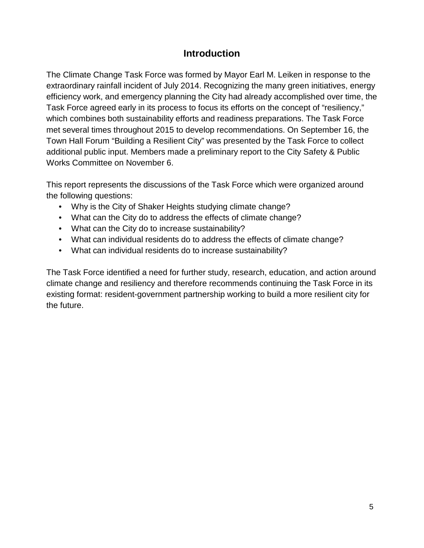## **Introduction**

The Climate Change Task Force was formed by Mayor Earl M. Leiken in response to the extraordinary rainfall incident of July 2014. Recognizing the many green initiatives, energy efficiency work, and emergency planning the City had already accomplished over time, the Task Force agreed early in its process to focus its efforts on the concept of "resiliency," which combines both sustainability efforts and readiness preparations. The Task Force met several times throughout 2015 to develop recommendations. On September 16, the Town Hall Forum "Building a Resilient City" was presented by the Task Force to collect additional public input. Members made a preliminary report to the City Safety & Public Works Committee on November 6.

This report represents the discussions of the Task Force which were organized around the following questions:

- Why is the City of Shaker Heights studying climate change?
- What can the City do to address the effects of climate change?
- What can the City do to increase sustainability?
- What can individual residents do to address the effects of climate change?
- What can individual residents do to increase sustainability?

The Task Force identified a need for further study, research, education, and action around climate change and resiliency and therefore recommends continuing the Task Force in its existing format: resident-government partnership working to build a more resilient city for the future.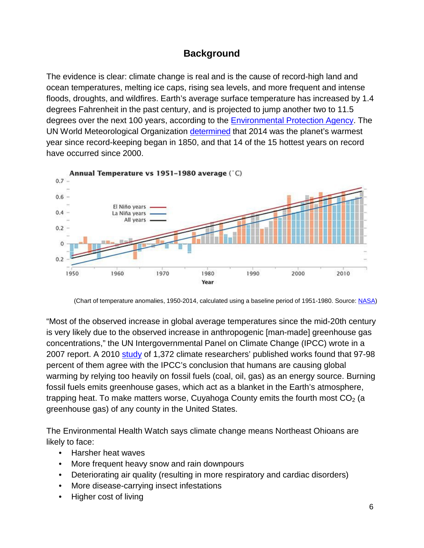## **Background**

The evidence is clear: climate change is real and is the cause of record-high land and ocean temperatures, melting ice caps, rising sea levels, and more frequent and intense floods, droughts, and wildfires. Earth's average surface temperature has increased by 1.4 degrees Fahrenheit in the past century, and is projected to jump another two to 11.5 degrees over the next 100 years, according to the [Environmental](http://www3.epa.gov/climatechange/basics/) Protection Agency. The UN World Meteorological Organization [determined](http://www.theguardian.com/environment/2015/feb/02/14-15-hottest-years-record-2000-un-global-warming) that 2014 was the planet's warmest year since record-keeping began in 1850, and that 14 of the 15 hottest years on record have occurred since 2000.



(Chart of temperature anomalies, 1950-2014, calculated using a baseline period of 1951-1980. Source[: NASA\)](http://www.giss.nasa.gov/research/news/20150116/)

"Most of the observed increase in global average temperatures since the mid-20th century is very likely due to the observed increase in anthropogenic [man-made] greenhouse gas concentrations," the UN Intergovernmental Panel on Climate Change (IPCC) wrote in a 2007 report. A 2010 [study](http://www.pnas.org/content/107/27/12107.full.pdf) of 1,372 climate researchers' published works found that 97-98 percent of them agree with the IPCC's conclusion that humans are causing global warming by relying too heavily on fossil fuels (coal, oil, gas) as an energy source. Burning fossil fuels emits greenhouse gases, which act as a blanket in the Earth's atmosphere, trapping heat. To make matters worse, Cuyahoga County emits the fourth most  $CO<sub>2</sub>$  (a greenhouse gas) of any county in the United States.

The Environmental Health Watch says climate change means Northeast Ohioans are likely to face:

- Harsher heat waves
- More frequent heavy snow and rain downpours
- Deteriorating air quality (resulting in more respiratory and cardiac disorders)
- More disease-carrying insect infestations
- Higher cost of living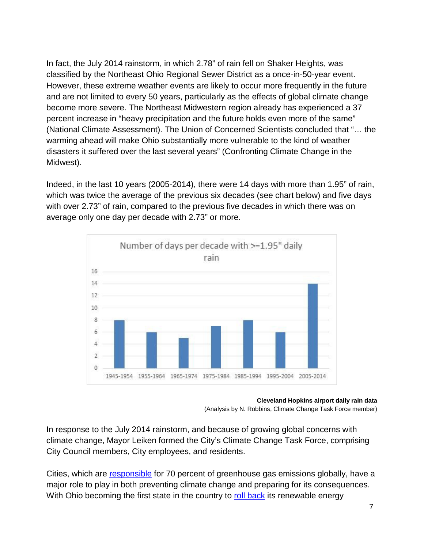In fact, the July 2014 rainstorm, in which 2.78" of rain fell on Shaker Heights, was classified by the Northeast Ohio Regional Sewer District as a once-in-50-year event. However, these extreme weather events are likely to occur more frequently in the future and are not limited to every 50 years, particularly as the effects of global climate change become more severe. The Northeast Midwestern region already has experienced a 37 percent increase in "heavy precipitation and the future holds even more of the same" (National Climate Assessment). The Union of Concerned Scientists concluded that "… the warming ahead will make Ohio substantially more vulnerable to the kind of weather disasters it suffered over the last several years" (Confronting Climate Change in the Midwest).

Indeed, in the last 10 years (2005-2014), there were 14 days with more than 1.95" of rain, which was twice the average of the previous six decades (see chart below) and five days with over 2.73" of rain, compared to the previous five decades in which there was on average only one day per decade with 2.73" or more.



**Cleveland Hopkins airport daily rain data**

In response to the July 2014 rainstorm, and because of growing global concerns with climate change, Mayor Leiken formed the City's Climate Change Task Force, comprising City Council members, City employees, and residents.

Cities, which are [responsible](http://www.scientificamerican.com/article/cities-as-solutions-to-climate-change/) for 70 percent of greenhouse gas emissions globally, have a major role to play in both preventing climate change and preparing for its consequences. With Ohio becoming the first state in the country to roll [back](http://www.cleveland.com/business/index.ssf/2014/06/ohio_renewable_energy_and_effi.html) its renewable energy

<sup>(</sup>Analysis by N. Robbins, Climate Change Task Force member)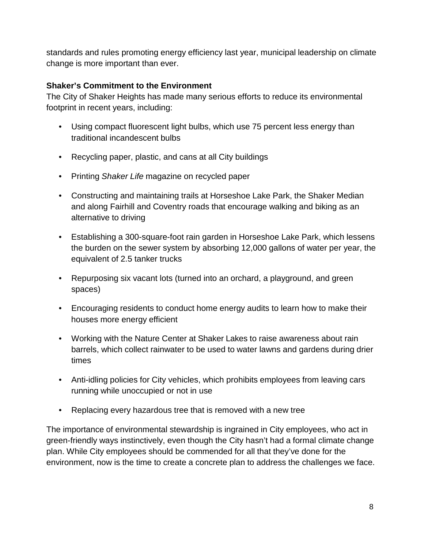standards and rules promoting energy efficiency last year, municipal leadership on climate change is more important than ever.

#### **Shaker's Commitment to the Environment**

The City of Shaker Heights has made many serious efforts to reduce its environmental footprint in recent years, including:

- Using compact fluorescent light bulbs, which use 75 percent less energy than traditional incandescent bulbs
- Recycling paper, plastic, and cans at all City buildings
- Printing *Shaker Life* magazine on recycled paper
- Constructing and maintaining trails at Horseshoe Lake Park, the Shaker Median and along Fairhill and Coventry roads that encourage walking and biking as an alternative to driving
- Establishing a 300-square-foot rain garden in Horseshoe Lake Park, which lessens the burden on the sewer system by absorbing 12,000 gallons of water per year, the equivalent of 2.5 tanker trucks
- Repurposing six vacant lots (turned into an orchard, a playground, and green spaces)
- Encouraging residents to conduct home energy audits to learn how to make their houses more energy efficient
- Working with the Nature Center at Shaker Lakes to raise awareness about rain barrels, which collect rainwater to be used to water lawns and gardens during drier times
- Anti-idling policies for City vehicles, which prohibits employees from leaving cars running while unoccupied or not in use
- Replacing every hazardous tree that is removed with a new tree

The importance of environmental stewardship is ingrained in City employees, who act in green-friendly ways instinctively, even though the City hasn't had a formal climate change plan. While City employees should be commended for all that they've done for the environment, now is the time to create a concrete plan to address the challenges we face.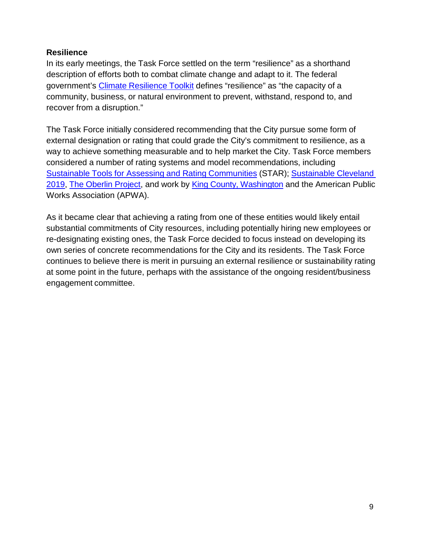#### **Resilience**

In its early meetings, the Task Force settled on the term "resilience" as a shorthand description of efforts both to combat climate change and adapt to it. The federal government's Climate [Resilience](https://toolkit.climate.gov/) Toolkit defines "resilience" as "the capacity of a community, business, or natural environment to prevent, withstand, respond to, and recover from a disruption."

The Task Force initially considered recommending that the City pursue some form of external designation or rating that could grade the City's commitment to resilience, as a way to achieve something measurable and to help market the City. Task Force members considered a number of rating systems and model recommendations, including Sustainable Tools [for Assessing](https://reporting.starcommunities.org/communities) and Rating Communities (STAR); [Sustainable](http://www.sustainablecleveland.org/) Cleveland [2019,](http://www.sustainablecleveland.org/) The Oberlin [Project,](http://www.oberlinproject.org/) and work by [King County, Washington](http://www.kingcounty.gov/environment/climate/king-county/climate-action-plan.aspx) and the American Public Works Association (APWA).

As it became clear that achieving a rating from one of these entities would likely entail substantial commitments of City resources, including potentially hiring new employees or re-designating existing ones, the Task Force decided to focus instead on developing its own series of concrete recommendations for the City and its residents. The Task Force continues to believe there is merit in pursuing an external resilience or sustainability rating at some point in the future, perhaps with the assistance of the ongoing resident/business engagement committee.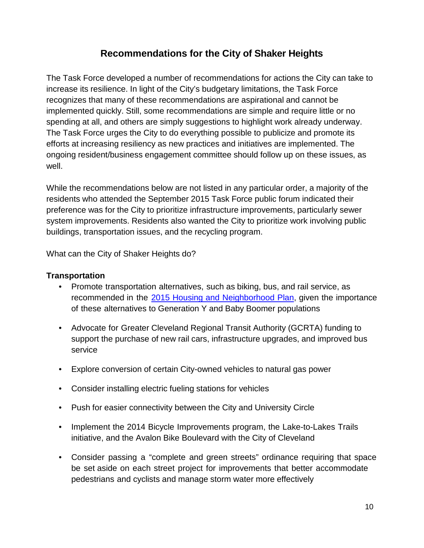## **Recommendations for the City of Shaker Heights**

The Task Force developed a number of recommendations for actions the City can take to increase its resilience. In light of the City's budgetary limitations, the Task Force recognizes that many of these recommendations are aspirational and cannot be implemented quickly. Still, some recommendations are simple and require little or no spending at all, and others are simply suggestions to highlight work already underway. The Task Force urges the City to do everything possible to publicize and promote its efforts at increasing resiliency as new practices and initiatives are implemented. The ongoing resident/business engagement committee should follow up on these issues, as well.

While the recommendations below are not listed in any particular order, a majority of the residents who attended the September 2015 Task Force public forum indicated their preference was for the City to prioritize infrastructure improvements, particularly sewer system improvements. Residents also wanted the City to prioritize work involving public buildings, transportation issues, and the recycling program.

What can the City of Shaker Heights do?

#### **Transportation**

- Promote transportation alternatives, such as biking, bus, and rail service, as recommended in the 2015 Housing and [Neighborhood](http://shakeronline.com/assets/downloads/city-plans/housingneighborhoodplanfinal.pdf) Plan, given the importance of these alternatives to Generation Y and Baby Boomer populations
- Advocate for Greater Cleveland Regional Transit Authority (GCRTA) funding to support the purchase of new rail cars, infrastructure upgrades, and improved bus service
- Explore conversion of certain City-owned vehicles to natural gas power
- Consider installing electric fueling stations for vehicles
- Push for easier connectivity between the City and University Circle
- Implement the 2014 Bicycle Improvements program, the Lake-to-Lakes Trails initiative, and the Avalon Bike Boulevard with the City of Cleveland
- Consider passing a "complete and green streets" ordinance requiring that space be set aside on each street project for improvements that better accommodate pedestrians and cyclists and manage storm water more effectively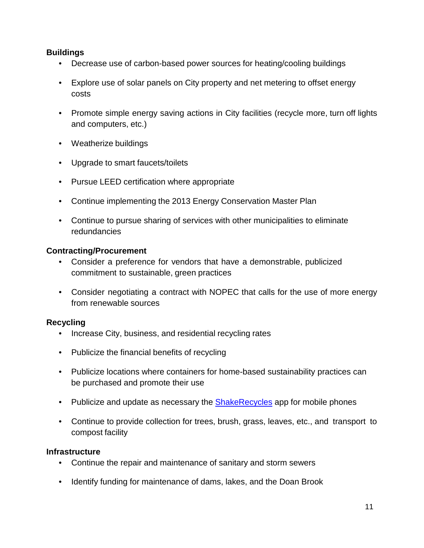#### **Buildings**

- Decrease use of carbon-based power sources for heating/cooling buildings
- Explore use of solar panels on City property and net metering to offset energy costs
- Promote simple energy saving actions in City facilities (recycle more, turn off lights and computers, etc.)
- Weatherize buildings
- Upgrade to smart faucets/toilets
- Pursue LEED certification where appropriate
- Continue implementing the 2013 Energy Conservation Master Plan
- Continue to pursue sharing of services with other municipalities to eliminate redundancies

#### **Contracting/Procurement**

- Consider a preference for vendors that have a demonstrable, publicized commitment to sustainable, green practices
- Consider negotiating a contract with NOPEC that calls for the use of more energy from renewable sources

#### **Recycling**

- Increase City, business, and residential recycling rates
- Publicize the financial benefits of recycling
- Publicize locations where containers for home-based sustainability practices can be purchased and promote their use
- Publicize and update as necessary the **[ShakeRecycles](http://www.shakeronline.com/city-services/recycling)** app for mobile phones
- Continue to provide collection for trees, brush, grass, leaves, etc., and transport to compost facility

#### **Infrastructure**

- Continue the repair and maintenance of sanitary and storm sewers
- Identify funding for maintenance of dams, lakes, and the Doan Brook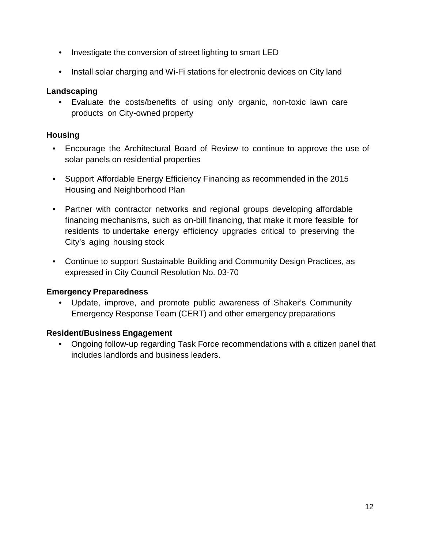- Investigate the conversion of street lighting to smart LED
- Install solar charging and Wi-Fi stations for electronic devices on City land

#### **Landscaping**

• Evaluate the costs/benefits of using only organic, non-toxic lawn care products on City-owned property

#### **Housing**

- Encourage the Architectural Board of Review to continue to approve the use of solar panels on residential properties
- Support Affordable Energy Efficiency Financing as recommended in the 2015 Housing and Neighborhood Plan
- Partner with contractor networks and regional groups developing affordable financing mechanisms, such as on-bill financing, that make it more feasible for residents to undertake energy efficiency upgrades critical to preserving the City's aging housing stock
- Continue to support Sustainable Building and Community Design Practices, as expressed in City Council Resolution No. 03-70

#### **Emergency Preparedness**

• Update, improve, and promote public awareness of Shaker's Community Emergency Response Team (CERT) and other emergency preparations

#### **Resident/Business Engagement**

• Ongoing follow-up regarding Task Force recommendations with a citizen panel that includes landlords and business leaders.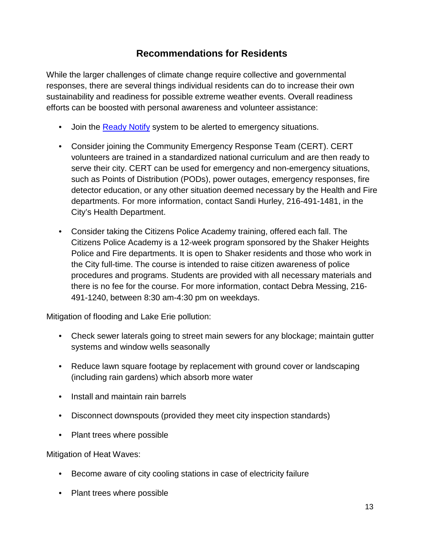## **Recommendations for Residents**

While the larger challenges of climate change require collective and governmental responses, there are several things individual residents can do to increase their own sustainability and readiness for possible extreme weather events. Overall readiness efforts can be boosted with personal awareness and volunteer assistance:

- Join the [Ready Notify](http://ready.cuyahogacounty.us/en-US/ReadyNotify.aspx) system to be alerted to emergency situations.
- Consider joining the Community Emergency Response Team (CERT). CERT volunteers are trained in a standardized national curriculum and are then ready to serve their city. CERT can be used for emergency and non-emergency situations, such as Points of Distribution (PODs), power outages, emergency responses, fire detector education, or any other situation deemed necessary by the Health and Fire departments. For more information, contact Sandi Hurley, 216-491-1481, in the City's Health Department.
- Consider taking the Citizens Police Academy training, offered each fall. The Citizens Police Academy is a 12-week program sponsored by the Shaker Heights Police and Fire departments. It is open to Shaker residents and those who work in the City full-time. The course is intended to raise citizen awareness of police procedures and programs. Students are provided with all necessary materials and there is no fee for the course. For more information, contact Debra Messing, 216-491-1240, between 8:30 am-4:30 pm on weekdays.

Mitigation of flooding and Lake Erie pollution:

- Check sewer laterals going to street main sewers for any blockage; maintain gutter systems and window wells seasonally
- Reduce lawn square footage by replacement with ground cover or landscaping (including rain gardens) which absorb more water
- Install and maintain rain barrels
- Disconnect downspouts (provided they meet city inspection standards)
- Plant trees where possible

Mitigation of Heat Waves:

- Become aware of city cooling stations in case of electricity failure
- Plant trees where possible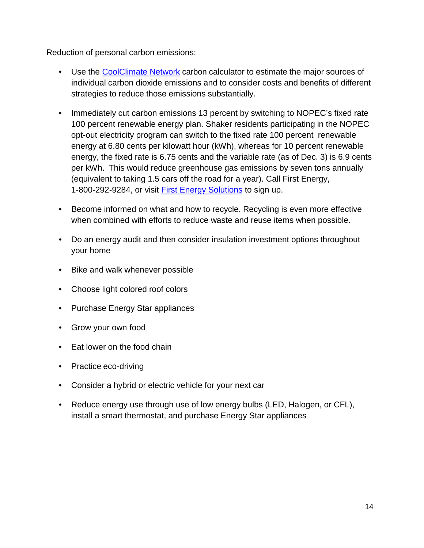Reduction of personal carbon emissions:

- Use the [CoolClimate Network](http://coolclimate.berkeley.edu/carboncalculator) carbon calculator to estimate the major sources of individual carbon dioxide emissions and to consider costs and benefits of different strategies to reduce those emissions substantially.
- Immediately cut carbon emissions 13 percent by switching to NOPEC's fixed rate 100 percent renewable energy plan. Shaker residents participating in the NOPEC opt-out electricity program can switch to the fixed rate 100 percent renewable energy at 6.80 cents per kilowatt hour (kWh), whereas for 10 percent renewable energy, the fixed rate is 6.75 cents and the variable rate (as of Dec. 3) is 6.9 cents per kWh. This would reduce greenhouse gas emissions by seven tons annually (equivalent to taking 1.5 cars off the road for a year). Call First Energy, 1-800-292-9284, or visit [First Energy Solutions](https://www.fes.com/content/fes/home.html) to sign up.
- Become informed on what and how to recycle. Recycling is even more effective when combined with efforts to reduce waste and reuse items when possible.
- Do an energy audit and then consider insulation investment options throughout your home
- Bike and walk whenever possible
- Choose light colored roof colors
- Purchase Energy Star appliances
- Grow your own food
- Eat lower on the food chain
- Practice eco-driving
- Consider a hybrid or electric vehicle for your next car
- Reduce energy use through use of low energy bulbs (LED, Halogen, or CFL), install a smart thermostat, and purchase Energy Star appliances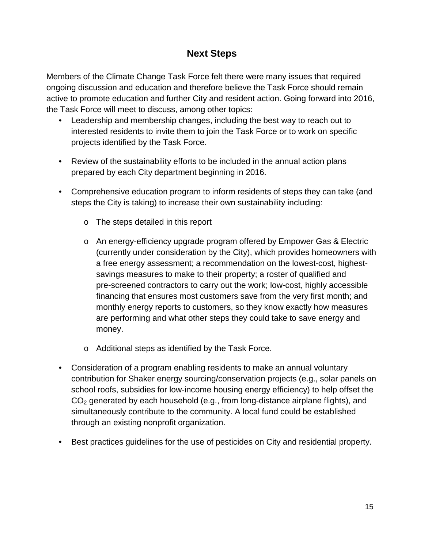## **Next Steps**

Members of the Climate Change Task Force felt there were many issues that required ongoing discussion and education and therefore believe the Task Force should remain active to promote education and further City and resident action. Going forward into 2016, the Task Force will meet to discuss, among other topics:

- Leadership and membership changes, including the best way to reach out to interested residents to invite them to join the Task Force or to work on specific projects identified by the Task Force.
- Review of the sustainability efforts to be included in the annual action plans prepared by each City department beginning in 2016.
- Comprehensive education program to inform residents of steps they can take (and steps the City is taking) to increase their own sustainability including:
	- o The steps detailed in this report
	- o An energy-efficiency upgrade program offered by Empower Gas & Electric (currently under consideration by the City), which provides homeowners with a free energy assessment; a recommendation on the lowest-cost, highestsavings measures to make to their property; a roster of qualified and pre-screened contractors to carry out the work; low-cost, highly accessible financing that ensures most customers save from the very first month; and monthly energy reports to customers, so they know exactly how measures are performing and what other steps they could take to save energy and money.
	- o Additional steps as identified by the Task Force.
- Consideration of a program enabling residents to make an annual voluntary contribution for Shaker energy sourcing/conservation projects (e.g., solar panels on school roofs, subsidies for low-income housing energy efficiency) to help offset the  $CO<sub>2</sub>$  generated by each household (e.g., from long-distance airplane flights), and simultaneously contribute to the community. A local fund could be established through an existing nonprofit organization.
- Best practices guidelines for the use of pesticides on City and residential property.